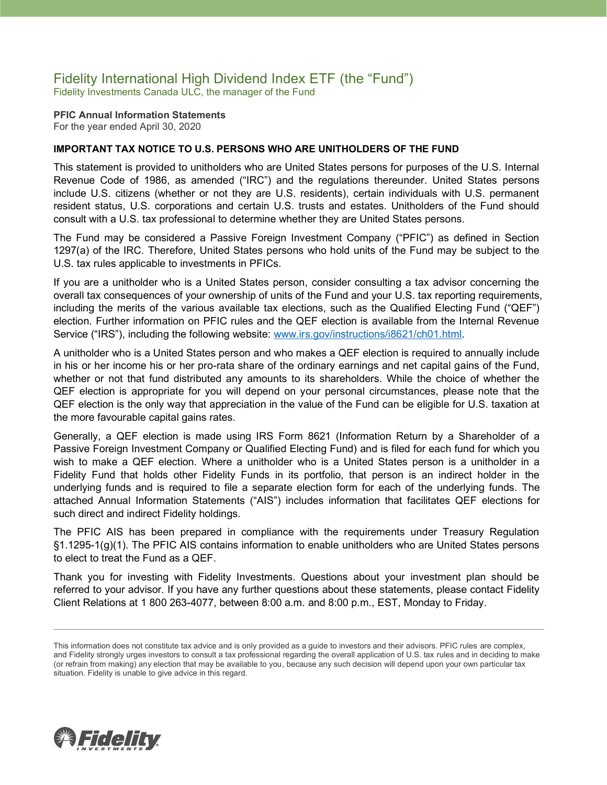### Fidelity International High Dividend Index ETF (the "Fund") Fidelity Investments Canada ULC, the manager of the Fund

**PFIC Annual Information Statements** For the year ended April 30, 2020

#### **IMPORTANT TAX NOTICE TO U.S. PERSONS WHO ARE UNITHOLDERS OF THE FUND**

This statement is provided to unitholders who are United States persons for purposes of the U.S. Internal Revenue Code of 1986, as amended ("IRC") and the regulations thereunder. United States persons include U.S. citizens (whether or not they are U.S. residents), certain individuals with U.S. permanent resident status, U.S. corporations and certain U.S. trusts and estates. Unitholders of the Fund should consult with a U.S. tax professional to determine whether they are United States persons.

The Fund may be considered a Passive Foreign Investment Company ("PFIC") as defined in Section 1297(a) of the IRC. Therefore, United States persons who hold units of the Fund may be subject to the U.S. tax rules applicable to investments in PFICs.

If you are a unitholder who is a United States person, consider consulting a tax advisor concerning the overall tax consequences of your ownership of units of the Fund and your U.S. tax reporting requirements, including the merits of the various available tax elections, such as the Qualified Electing Fund ("QEF") election. Further information on PFIC rules and the QEF election is available from the Internal Revenue Service ("IRS"), including the following website: [www.irs.gov/instructions/i8621/ch01.html.](http://www.irs.gov/instructions/i8621/ch01.html)

A unitholder who is a United States person and who makes a QEF election is required to annually include in his or her income his or her pro-rata share of the ordinary earnings and net capital gains of the Fund, whether or not that fund distributed any amounts to its shareholders. While the choice of whether the QEF election is appropriate for you will depend on your personal circumstances, please note that the QEF election is the only way that appreciation in the value of the Fund can be eligible for U.S. taxation at the more favourable capital gains rates.

Generally, a QEF election is made using IRS Form 8621 (Information Return by a Shareholder of a Passive Foreign Investment Company or Qualified Electing Fund) and is filed for each fund for which you wish to make a QEF election. Where a unitholder who is a United States person is a unitholder in a Fidelity Fund that holds other Fidelity Funds in its portfolio, that person is an indirect holder in the underlying funds and is required to file a separate election form for each of the underlying funds. The attached Annual Information Statements ("AIS") includes information that facilitates QEF elections for such direct and indirect Fidelity holdings.

The PFIC AIS has been prepared in compliance with the requirements under Treasury Regulation §1.1295-1(g)(1). The PFIC AIS contains information to enable unitholders who are United States persons to elect to treat the Fund as a QEF.

Thank you for investing with Fidelity Investments. Questions about your investment plan should be referred to your advisor. If you have any further questions about these statements, please contact Fidelity Client Relations at 1 800 263-4077, between 8:00 a.m. and 8:00 p.m., EST, Monday to Friday.



This information does not constitute tax advice and is only provided as a guide to investors and their advisors. PFIC rules are complex, and Fidelity strongly urges investors to consult a tax professional regarding the overall application of U.S. tax rules and in deciding to make (or refrain from making) any election that may be available to you, because any such decision will depend upon your own particular tax situation. Fidelity is unable to give advice in this regard.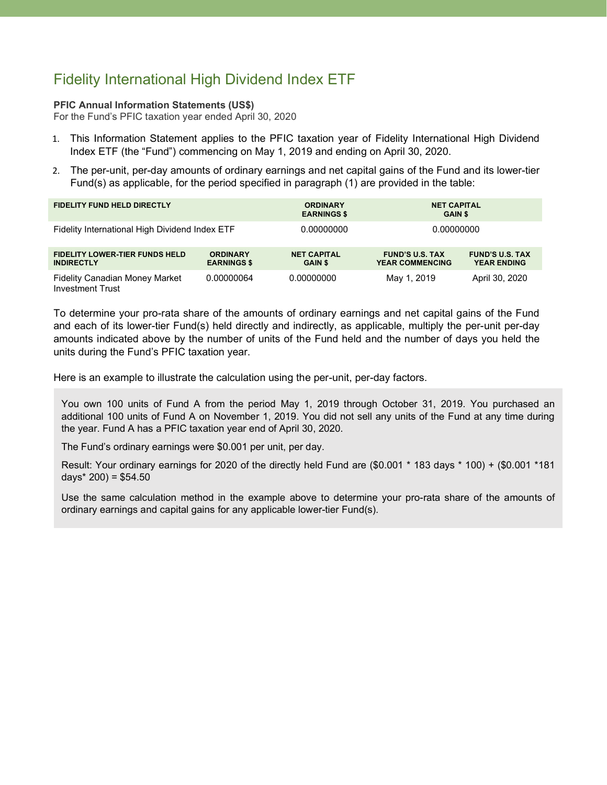# Fidelity International High Dividend Index ETF

#### **PFIC Annual Information Statements (US\$)**

For the Fund's PFIC taxation year ended April 30, 2020

- 1. This Information Statement applies to the PFIC taxation year of Fidelity International High Dividend Index ETF (the "Fund") commencing on May 1, 2019 and ending on April 30, 2020.
- 2. The per-unit, per-day amounts of ordinary earnings and net capital gains of the Fund and its lower-tier Fund(s) as applicable, for the period specified in paragraph (1) are provided in the table:

| <b>FIDELITY FUND HELD DIRECTLY</b>                               |                                       | <b>ORDINARY</b><br><b>EARNINGS \$</b> | <b>NET CAPITAL</b><br><b>GAIN \$</b>             |                                              |
|------------------------------------------------------------------|---------------------------------------|---------------------------------------|--------------------------------------------------|----------------------------------------------|
| Fidelity International High Dividend Index ETF                   |                                       | 0.00000000                            | 0.00000000                                       |                                              |
| <b>FIDELITY LOWER-TIER FUNDS HELD</b><br><b>INDIRECTLY</b>       | <b>ORDINARY</b><br><b>EARNINGS \$</b> | <b>NET CAPITAL</b><br><b>GAIN \$</b>  | <b>FUND'S U.S. TAX</b><br><b>YEAR COMMENCING</b> | <b>FUND'S U.S. TAX</b><br><b>YEAR ENDING</b> |
| <b>Fidelity Canadian Money Market</b><br><b>Investment Trust</b> | 0.00000064                            | 0.00000000                            | May 1, 2019                                      | April 30, 2020                               |

To determine your pro-rata share of the amounts of ordinary earnings and net capital gains of the Fund and each of its lower-tier Fund(s) held directly and indirectly, as applicable, multiply the per-unit per-day amounts indicated above by the number of units of the Fund held and the number of days you held the units during the Fund's PFIC taxation year.

Here is an example to illustrate the calculation using the per-unit, per-day factors.

You own 100 units of Fund A from the period May 1, 2019 through October 31, 2019. You purchased an additional 100 units of Fund A on November 1, 2019. You did not sell any units of the Fund at any time during the year. Fund A has a PFIC taxation year end of April 30, 2020.

The Fund's ordinary earnings were \$0.001 per unit, per day.

Result: Your ordinary earnings for 2020 of the directly held Fund are (\$0.001 \* 183 days \* 100) + (\$0.001 \*181 days $*$  200) = \$54.50

Use the same calculation method in the example above to determine your pro-rata share of the amounts of ordinary earnings and capital gains for any applicable lower-tier Fund(s).